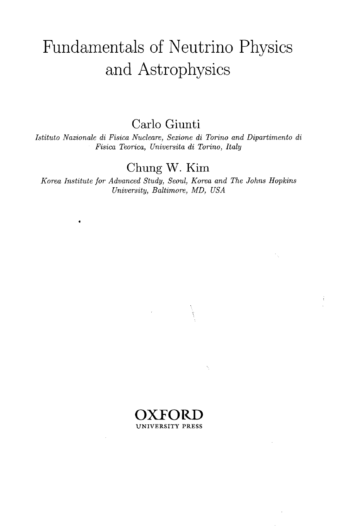## Fundamentals of Neutrino Physics and Astrophysics

Carlo Giunti

*Istituto Nazionale di Fisica Nucleare, Sezione di Torino and Dipartimento di Fisica Teorica, Universita di Torino, Italy*

## Chung W. Kim

*Korea Institute for Advanced Study, Seoul, Korea and The Johns Hopkins University, Baltimore, MD, USA*



ħ,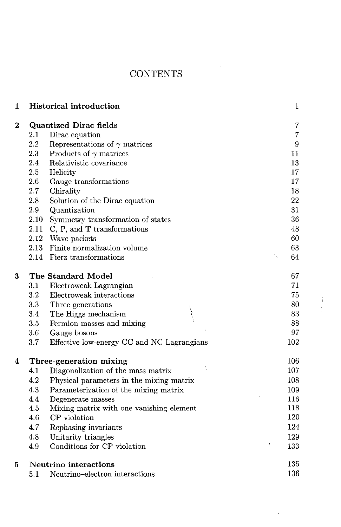## **CONTENTS**

| $\mathbf{1}$     |         | <b>Historical introduction</b>             | $\mathbf{1}$     |
|------------------|---------|--------------------------------------------|------------------|
| $\boldsymbol{2}$ |         | <b>Quantized Dirac fields</b>              | 7                |
|                  | 2.1     | Dirac equation                             | $\overline{7}$   |
|                  | 2.2     | Representations of $\gamma$ matrices       | $\boldsymbol{9}$ |
|                  | $2.3\,$ | Products of $\gamma$ matrices              | 11               |
|                  | 2.4     | Relativistic covariance                    | 13               |
|                  | 2.5     | Helicity                                   | 17               |
|                  | 2.6     | Gauge transformations                      | 17               |
|                  | 2.7     | Chirality                                  | 18               |
|                  | 2.8     | Solution of the Dirac equation             | 22               |
|                  | 2.9     | Quantization                               | 31               |
|                  | 2.10    | Symmetry transformation of states          | 36               |
|                  | 2.11    | C, P, and T transformations                | 48               |
|                  | 2.12    | Wave packets                               | 60               |
|                  |         | 2.13 Finite normalization volume           | 63               |
|                  |         | 2.14 Fierz transformations                 | 64<br>٦.         |
| 3                |         | The Standard Model                         | 67               |
|                  | 3.1     | Electroweak Lagrangian                     | 71               |
|                  | 3.2     | Electroweak interactions                   | 75               |
|                  | 3.3     | Three generations                          | 80               |
|                  | 3.4     | The Higgs mechanism                        | 83               |
|                  | $3.5\,$ | Fermion masses and mixing                  | 88               |
|                  | 3.6     | Gauge bosons                               | 97               |
|                  | 3.7     | Effective low-energy CC and NC Lagrangians | 102              |
| 4                |         | Three-generation mixing                    | 106              |
|                  | 4.1     | Diagonalization of the mass matrix         | 107              |
|                  | 4.2     | Physical parameters in the mixing matrix   | 108              |
|                  | 4.3     | Parameterization of the mixing matrix      | 109              |
|                  | 4.4     | Degenerate masses                          | 116              |
|                  | 4.5     | Mixing matrix with one vanishing element   | 118              |
|                  | 4.6     | CP violation                               | 120              |
|                  | 4.7     | Rephasing invariants                       | 124              |
|                  | 4.8     | Unitarity triangles                        | 129              |
|                  | 4.9     | Conditions for CP violation                | 133              |
| 5                |         | Neutrino interactions                      | 135              |
|                  | 5.1     | Neutrino-electron interactions             | 136              |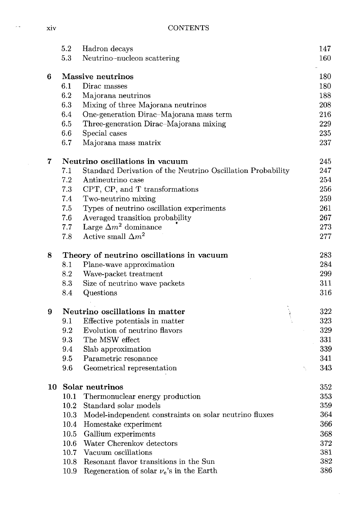xiv CONTENTS

|    | 5.2  | Hadron decays                                               | 147 |
|----|------|-------------------------------------------------------------|-----|
|    | 5.3  | Neutrino-nucleon scattering                                 | 160 |
| 6  |      | Massive neutrinos                                           | 180 |
|    | 6.1  | Dirac masses                                                | 180 |
|    | 6.2  | Majorana neutrinos                                          | 188 |
|    | 6.3  | Mixing of three Majorana neutrinos                          | 208 |
|    | 6.4  | One-generation Dirac-Majorana mass term                     | 216 |
|    | 6.5  | Three-generation Dirac-Majorana mixing                      | 229 |
|    | 6.6  | Special cases                                               | 235 |
|    | 6.7  | Majorana mass matrix                                        | 237 |
| 7  |      | Neutrino oscillations in vacuum                             | 245 |
|    | 7.1  | Standard Derivation of the Neutrino Oscillation Probability | 247 |
|    | 7.2  | Antineutrino case                                           | 254 |
|    | 7.3  | CPT, CP, and T transformations                              | 256 |
|    | 7.4  | Two-neutrino mixing                                         | 259 |
|    | 7.5  | Types of neutrino oscillation experiments                   | 261 |
|    | 7.6  | Averaged transition probability                             | 267 |
|    | 7.7  | Large $\Delta m^2$ dominance                                | 273 |
|    | 7.8  | Active small $\Delta m^2$                                   | 277 |
| 8  |      | Theory of neutrino oscillations in vacuum                   | 283 |
|    | 8.1  | Plane-wave approximation                                    | 284 |
|    | 8.2  | Wave-packet treatment                                       | 299 |
|    | 8.3  | Size of neutrino wave packets                               | 311 |
|    | 8.4  | Questions                                                   | 316 |
| 9  |      | Neutrino oscillations in matter                             | 322 |
|    | 9.1  | Effective potentials in matter                              | 323 |
|    | 9.2  | Evolution of neutrino flavors                               | 329 |
|    | 9.3  | The MSW effect                                              | 331 |
|    | 9.4  | Slab approximation                                          | 339 |
|    | 9.5  | Parametric resonance                                        | 341 |
|    | 9.6  | Geometrical representation<br>N,                            | 343 |
| 10 |      | Solar neutrinos                                             | 352 |
|    |      | 10.1 Thermonuclear energy production                        | 353 |
|    | 10.2 | Standard solar models                                       | 359 |
|    | 10.3 | Model-independent constraints on solar neutrino fluxes      | 364 |
|    | 10.4 | Homestake experiment                                        | 366 |
|    | 10.5 | Gallium experiments                                         | 368 |
|    | 10.6 | Water Cherenkov detectors                                   | 372 |
|    | 10.7 | Vacuum oscillations                                         | 381 |
|    | 10.8 | Resonant flavor transitions in the Sun                      | 382 |
|    | 10.9 | Regeneration of solar $\nu_e$ 's in the Earth               | 386 |

 $\sim$ 

 $\ddot{\phantom{1}}$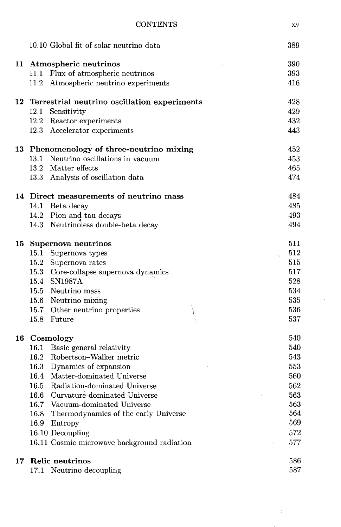|    | 10.10 Global fit of solar neutrino data      | 389 |
|----|----------------------------------------------|-----|
|    | 11 Atmospheric neutrinos                     | 390 |
|    | 11.1<br>Flux of atmospheric neutrinos        | 393 |
|    | Atmospheric neutrino experiments<br>11.2     | 416 |
| 12 | Terrestrial neutrino oscillation experiments | 428 |
|    | 12.1<br>Sensitivity                          | 429 |
|    | Reactor experiments<br>12.2                  | 432 |
|    | 12.3 Accelerator experiments                 | 443 |
|    | 13 Phenomenology of three-neutrino mixing    | 452 |
|    | 13.1<br>Neutrino oscillations in vacuum      | 453 |
|    | Matter effects<br>13.2                       | 465 |
|    | 13.3 Analysis of oscillation data            | 474 |
|    | 14 Direct measurements of neutrino mass      | 484 |
|    | 14.1 Beta decay                              | 485 |
|    | 14.2 Pion and tau decays                     | 493 |
|    | 14.3 Neutrinoless double-beta decay          | 494 |
| 15 | Supernova neutrinos                          | 511 |
|    | 15.1 Supernova types                         | 512 |
|    | 15.2 Supernova rates                         | 515 |
|    | 15.3 Core-collapse supernova dynamics        | 517 |
|    | 15.4 SN1987A                                 | 528 |
|    | 15.5 Neutrino mass                           | 534 |
|    | 15.6 Neutrino mixing                         | 535 |
|    | 15.7 Other neutrino properties               | 536 |
|    | 15.8 Future                                  | 537 |
| 16 | Cosmology                                    | 540 |
|    | 16.1 Basic general relativity                | 540 |
|    | 16.2 Robertson-Walker metric                 | 543 |
|    | 16.3 Dynamics of expansion                   | 553 |
|    | 16.4 Matter-dominated Universe               | 560 |
|    | 16.5 Radiation-dominated Universe            | 562 |
|    | 16.6 Curvature-dominated Universe            | 563 |
|    | Vacuum-dominated Universe<br>$16.7\,$        | 563 |
|    | Thermodynamics of the early Universe<br>16.8 | 564 |
|    | 16.9<br>Entropy                              | 569 |
|    | 16.10 Decoupling                             | 572 |
|    | 16.11 Cosmic microwave background radiation  | 577 |
| 17 | Relic neutrinos                              | 586 |
|    | 17.1 Neutrino decoupling                     | 587 |

 $\sim 10^6$  $\mathcal{A}_{\mathcal{A}}$  .